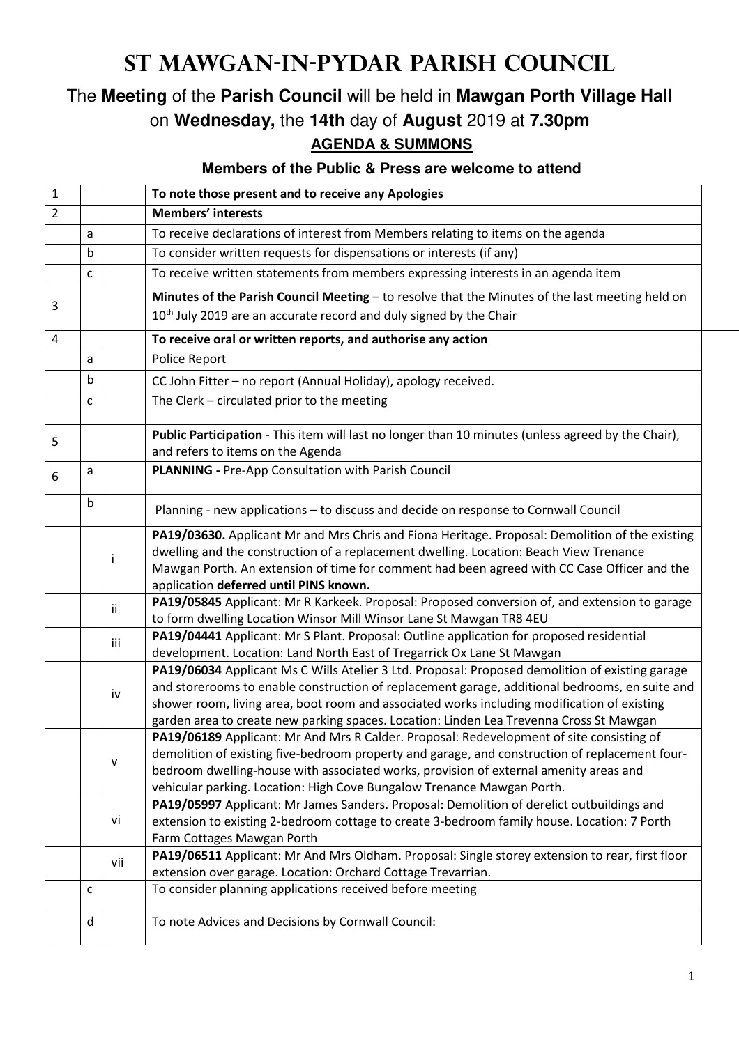## **St Mawgan-in-Pydar Parish Council**

## The **Meeting** of the **Parish Council** will be held in **Mawgan Porth Village Hall** on **Wednesday,** the **14th** day of **August** 2019 at **7.30pm AGENDA & SUMMONS**

## **Members of the Public & Press are welcome to attend**

| <b>Members' interests</b><br>$\overline{2}$<br>To receive declarations of interest from Members relating to items on the agenda<br>а<br>To consider written requests for dispensations or interests (if any)<br>b<br>To receive written statements from members expressing interests in an agenda item<br>C<br>Minutes of the Parish Council Meeting - to resolve that the Minutes of the last meeting held on<br>3<br>10 <sup>th</sup> July 2019 are an accurate record and duly signed by the Chair<br>To receive oral or written reports, and authorise any action<br>4<br>Police Report<br>a<br>b<br>CC John Fitter - no report (Annual Holiday), apology received.<br>The Clerk - circulated prior to the meeting<br>c<br>Public Participation - This item will last no longer than 10 minutes (unless agreed by the Chair),<br>5<br>and refers to items on the Agenda<br><b>PLANNING - Pre-App Consultation with Parish Council</b><br>а<br>6<br>b<br>Planning - new applications - to discuss and decide on response to Cornwall Council<br>PA19/03630. Applicant Mr and Mrs Chris and Fiona Heritage. Proposal: Demolition of the existing<br>dwelling and the construction of a replacement dwelling. Location: Beach View Trenance<br>÷<br>Mawgan Porth. An extension of time for comment had been agreed with CC Case Officer and the<br>application deferred until PINS known.<br>PA19/05845 Applicant: Mr R Karkeek. Proposal: Proposed conversion of, and extension to garage<br>ii.<br>to form dwelling Location Winsor Mill Winsor Lane St Mawgan TR8 4EU<br>PA19/04441 Applicant: Mr S Plant. Proposal: Outline application for proposed residential<br>iii<br>development. Location: Land North East of Tregarrick Ox Lane St Mawgan<br>PA19/06034 Applicant Ms C Wills Atelier 3 Ltd. Proposal: Proposed demolition of existing garage<br>and storerooms to enable construction of replacement garage, additional bedrooms, en suite and<br>iv<br>shower room, living area, boot room and associated works including modification of existing<br>garden area to create new parking spaces. Location: Linden Lea Trevenna Cross St Mawgan<br>PA19/06189 Applicant: Mr And Mrs R Calder. Proposal: Redevelopment of site consisting of<br>demolition of existing five-bedroom property and garage, and construction of replacement four-<br>v<br>bedroom dwelling-house with associated works, provision of external amenity areas and<br>vehicular parking. Location: High Cove Bungalow Trenance Mawgan Porth.<br>PA19/05997 Applicant: Mr James Sanders. Proposal: Demolition of derelict outbuildings and<br>extension to existing 2-bedroom cottage to create 3-bedroom family house. Location: 7 Porth<br>vi<br>Farm Cottages Mawgan Porth<br>PA19/06511 Applicant: Mr And Mrs Oldham. Proposal: Single storey extension to rear, first floor<br>vii<br>extension over garage. Location: Orchard Cottage Trevarrian.<br>To consider planning applications received before meeting<br>с<br>To note Advices and Decisions by Cornwall Council:<br>d | 1 |  |  | To note those present and to receive any Apologies |
|--------------------------------------------------------------------------------------------------------------------------------------------------------------------------------------------------------------------------------------------------------------------------------------------------------------------------------------------------------------------------------------------------------------------------------------------------------------------------------------------------------------------------------------------------------------------------------------------------------------------------------------------------------------------------------------------------------------------------------------------------------------------------------------------------------------------------------------------------------------------------------------------------------------------------------------------------------------------------------------------------------------------------------------------------------------------------------------------------------------------------------------------------------------------------------------------------------------------------------------------------------------------------------------------------------------------------------------------------------------------------------------------------------------------------------------------------------------------------------------------------------------------------------------------------------------------------------------------------------------------------------------------------------------------------------------------------------------------------------------------------------------------------------------------------------------------------------------------------------------------------------------------------------------------------------------------------------------------------------------------------------------------------------------------------------------------------------------------------------------------------------------------------------------------------------------------------------------------------------------------------------------------------------------------------------------------------------------------------------------------------------------------------------------------------------------------------------------------------------------------------------------------------------------------------------------------------------------------------------------------------------------------------------------------------------------------------------------------------------------------------------------------------------------------------------------------------------------------------------------------------------------------------------------------------------------------------------------------------------------------------------------------------------------------------------------------------|---|--|--|----------------------------------------------------|
|                                                                                                                                                                                                                                                                                                                                                                                                                                                                                                                                                                                                                                                                                                                                                                                                                                                                                                                                                                                                                                                                                                                                                                                                                                                                                                                                                                                                                                                                                                                                                                                                                                                                                                                                                                                                                                                                                                                                                                                                                                                                                                                                                                                                                                                                                                                                                                                                                                                                                                                                                                                                                                                                                                                                                                                                                                                                                                                                                                                                                                                                          |   |  |  |                                                    |
|                                                                                                                                                                                                                                                                                                                                                                                                                                                                                                                                                                                                                                                                                                                                                                                                                                                                                                                                                                                                                                                                                                                                                                                                                                                                                                                                                                                                                                                                                                                                                                                                                                                                                                                                                                                                                                                                                                                                                                                                                                                                                                                                                                                                                                                                                                                                                                                                                                                                                                                                                                                                                                                                                                                                                                                                                                                                                                                                                                                                                                                                          |   |  |  |                                                    |
|                                                                                                                                                                                                                                                                                                                                                                                                                                                                                                                                                                                                                                                                                                                                                                                                                                                                                                                                                                                                                                                                                                                                                                                                                                                                                                                                                                                                                                                                                                                                                                                                                                                                                                                                                                                                                                                                                                                                                                                                                                                                                                                                                                                                                                                                                                                                                                                                                                                                                                                                                                                                                                                                                                                                                                                                                                                                                                                                                                                                                                                                          |   |  |  |                                                    |
|                                                                                                                                                                                                                                                                                                                                                                                                                                                                                                                                                                                                                                                                                                                                                                                                                                                                                                                                                                                                                                                                                                                                                                                                                                                                                                                                                                                                                                                                                                                                                                                                                                                                                                                                                                                                                                                                                                                                                                                                                                                                                                                                                                                                                                                                                                                                                                                                                                                                                                                                                                                                                                                                                                                                                                                                                                                                                                                                                                                                                                                                          |   |  |  |                                                    |
|                                                                                                                                                                                                                                                                                                                                                                                                                                                                                                                                                                                                                                                                                                                                                                                                                                                                                                                                                                                                                                                                                                                                                                                                                                                                                                                                                                                                                                                                                                                                                                                                                                                                                                                                                                                                                                                                                                                                                                                                                                                                                                                                                                                                                                                                                                                                                                                                                                                                                                                                                                                                                                                                                                                                                                                                                                                                                                                                                                                                                                                                          |   |  |  |                                                    |
|                                                                                                                                                                                                                                                                                                                                                                                                                                                                                                                                                                                                                                                                                                                                                                                                                                                                                                                                                                                                                                                                                                                                                                                                                                                                                                                                                                                                                                                                                                                                                                                                                                                                                                                                                                                                                                                                                                                                                                                                                                                                                                                                                                                                                                                                                                                                                                                                                                                                                                                                                                                                                                                                                                                                                                                                                                                                                                                                                                                                                                                                          |   |  |  |                                                    |
|                                                                                                                                                                                                                                                                                                                                                                                                                                                                                                                                                                                                                                                                                                                                                                                                                                                                                                                                                                                                                                                                                                                                                                                                                                                                                                                                                                                                                                                                                                                                                                                                                                                                                                                                                                                                                                                                                                                                                                                                                                                                                                                                                                                                                                                                                                                                                                                                                                                                                                                                                                                                                                                                                                                                                                                                                                                                                                                                                                                                                                                                          |   |  |  |                                                    |
|                                                                                                                                                                                                                                                                                                                                                                                                                                                                                                                                                                                                                                                                                                                                                                                                                                                                                                                                                                                                                                                                                                                                                                                                                                                                                                                                                                                                                                                                                                                                                                                                                                                                                                                                                                                                                                                                                                                                                                                                                                                                                                                                                                                                                                                                                                                                                                                                                                                                                                                                                                                                                                                                                                                                                                                                                                                                                                                                                                                                                                                                          |   |  |  |                                                    |
|                                                                                                                                                                                                                                                                                                                                                                                                                                                                                                                                                                                                                                                                                                                                                                                                                                                                                                                                                                                                                                                                                                                                                                                                                                                                                                                                                                                                                                                                                                                                                                                                                                                                                                                                                                                                                                                                                                                                                                                                                                                                                                                                                                                                                                                                                                                                                                                                                                                                                                                                                                                                                                                                                                                                                                                                                                                                                                                                                                                                                                                                          |   |  |  |                                                    |
|                                                                                                                                                                                                                                                                                                                                                                                                                                                                                                                                                                                                                                                                                                                                                                                                                                                                                                                                                                                                                                                                                                                                                                                                                                                                                                                                                                                                                                                                                                                                                                                                                                                                                                                                                                                                                                                                                                                                                                                                                                                                                                                                                                                                                                                                                                                                                                                                                                                                                                                                                                                                                                                                                                                                                                                                                                                                                                                                                                                                                                                                          |   |  |  |                                                    |
|                                                                                                                                                                                                                                                                                                                                                                                                                                                                                                                                                                                                                                                                                                                                                                                                                                                                                                                                                                                                                                                                                                                                                                                                                                                                                                                                                                                                                                                                                                                                                                                                                                                                                                                                                                                                                                                                                                                                                                                                                                                                                                                                                                                                                                                                                                                                                                                                                                                                                                                                                                                                                                                                                                                                                                                                                                                                                                                                                                                                                                                                          |   |  |  |                                                    |
|                                                                                                                                                                                                                                                                                                                                                                                                                                                                                                                                                                                                                                                                                                                                                                                                                                                                                                                                                                                                                                                                                                                                                                                                                                                                                                                                                                                                                                                                                                                                                                                                                                                                                                                                                                                                                                                                                                                                                                                                                                                                                                                                                                                                                                                                                                                                                                                                                                                                                                                                                                                                                                                                                                                                                                                                                                                                                                                                                                                                                                                                          |   |  |  |                                                    |
|                                                                                                                                                                                                                                                                                                                                                                                                                                                                                                                                                                                                                                                                                                                                                                                                                                                                                                                                                                                                                                                                                                                                                                                                                                                                                                                                                                                                                                                                                                                                                                                                                                                                                                                                                                                                                                                                                                                                                                                                                                                                                                                                                                                                                                                                                                                                                                                                                                                                                                                                                                                                                                                                                                                                                                                                                                                                                                                                                                                                                                                                          |   |  |  |                                                    |
|                                                                                                                                                                                                                                                                                                                                                                                                                                                                                                                                                                                                                                                                                                                                                                                                                                                                                                                                                                                                                                                                                                                                                                                                                                                                                                                                                                                                                                                                                                                                                                                                                                                                                                                                                                                                                                                                                                                                                                                                                                                                                                                                                                                                                                                                                                                                                                                                                                                                                                                                                                                                                                                                                                                                                                                                                                                                                                                                                                                                                                                                          |   |  |  |                                                    |
|                                                                                                                                                                                                                                                                                                                                                                                                                                                                                                                                                                                                                                                                                                                                                                                                                                                                                                                                                                                                                                                                                                                                                                                                                                                                                                                                                                                                                                                                                                                                                                                                                                                                                                                                                                                                                                                                                                                                                                                                                                                                                                                                                                                                                                                                                                                                                                                                                                                                                                                                                                                                                                                                                                                                                                                                                                                                                                                                                                                                                                                                          |   |  |  |                                                    |
|                                                                                                                                                                                                                                                                                                                                                                                                                                                                                                                                                                                                                                                                                                                                                                                                                                                                                                                                                                                                                                                                                                                                                                                                                                                                                                                                                                                                                                                                                                                                                                                                                                                                                                                                                                                                                                                                                                                                                                                                                                                                                                                                                                                                                                                                                                                                                                                                                                                                                                                                                                                                                                                                                                                                                                                                                                                                                                                                                                                                                                                                          |   |  |  |                                                    |
|                                                                                                                                                                                                                                                                                                                                                                                                                                                                                                                                                                                                                                                                                                                                                                                                                                                                                                                                                                                                                                                                                                                                                                                                                                                                                                                                                                                                                                                                                                                                                                                                                                                                                                                                                                                                                                                                                                                                                                                                                                                                                                                                                                                                                                                                                                                                                                                                                                                                                                                                                                                                                                                                                                                                                                                                                                                                                                                                                                                                                                                                          |   |  |  |                                                    |
|                                                                                                                                                                                                                                                                                                                                                                                                                                                                                                                                                                                                                                                                                                                                                                                                                                                                                                                                                                                                                                                                                                                                                                                                                                                                                                                                                                                                                                                                                                                                                                                                                                                                                                                                                                                                                                                                                                                                                                                                                                                                                                                                                                                                                                                                                                                                                                                                                                                                                                                                                                                                                                                                                                                                                                                                                                                                                                                                                                                                                                                                          |   |  |  |                                                    |
|                                                                                                                                                                                                                                                                                                                                                                                                                                                                                                                                                                                                                                                                                                                                                                                                                                                                                                                                                                                                                                                                                                                                                                                                                                                                                                                                                                                                                                                                                                                                                                                                                                                                                                                                                                                                                                                                                                                                                                                                                                                                                                                                                                                                                                                                                                                                                                                                                                                                                                                                                                                                                                                                                                                                                                                                                                                                                                                                                                                                                                                                          |   |  |  |                                                    |
|                                                                                                                                                                                                                                                                                                                                                                                                                                                                                                                                                                                                                                                                                                                                                                                                                                                                                                                                                                                                                                                                                                                                                                                                                                                                                                                                                                                                                                                                                                                                                                                                                                                                                                                                                                                                                                                                                                                                                                                                                                                                                                                                                                                                                                                                                                                                                                                                                                                                                                                                                                                                                                                                                                                                                                                                                                                                                                                                                                                                                                                                          |   |  |  |                                                    |
|                                                                                                                                                                                                                                                                                                                                                                                                                                                                                                                                                                                                                                                                                                                                                                                                                                                                                                                                                                                                                                                                                                                                                                                                                                                                                                                                                                                                                                                                                                                                                                                                                                                                                                                                                                                                                                                                                                                                                                                                                                                                                                                                                                                                                                                                                                                                                                                                                                                                                                                                                                                                                                                                                                                                                                                                                                                                                                                                                                                                                                                                          |   |  |  |                                                    |
|                                                                                                                                                                                                                                                                                                                                                                                                                                                                                                                                                                                                                                                                                                                                                                                                                                                                                                                                                                                                                                                                                                                                                                                                                                                                                                                                                                                                                                                                                                                                                                                                                                                                                                                                                                                                                                                                                                                                                                                                                                                                                                                                                                                                                                                                                                                                                                                                                                                                                                                                                                                                                                                                                                                                                                                                                                                                                                                                                                                                                                                                          |   |  |  |                                                    |
|                                                                                                                                                                                                                                                                                                                                                                                                                                                                                                                                                                                                                                                                                                                                                                                                                                                                                                                                                                                                                                                                                                                                                                                                                                                                                                                                                                                                                                                                                                                                                                                                                                                                                                                                                                                                                                                                                                                                                                                                                                                                                                                                                                                                                                                                                                                                                                                                                                                                                                                                                                                                                                                                                                                                                                                                                                                                                                                                                                                                                                                                          |   |  |  |                                                    |
|                                                                                                                                                                                                                                                                                                                                                                                                                                                                                                                                                                                                                                                                                                                                                                                                                                                                                                                                                                                                                                                                                                                                                                                                                                                                                                                                                                                                                                                                                                                                                                                                                                                                                                                                                                                                                                                                                                                                                                                                                                                                                                                                                                                                                                                                                                                                                                                                                                                                                                                                                                                                                                                                                                                                                                                                                                                                                                                                                                                                                                                                          |   |  |  |                                                    |
|                                                                                                                                                                                                                                                                                                                                                                                                                                                                                                                                                                                                                                                                                                                                                                                                                                                                                                                                                                                                                                                                                                                                                                                                                                                                                                                                                                                                                                                                                                                                                                                                                                                                                                                                                                                                                                                                                                                                                                                                                                                                                                                                                                                                                                                                                                                                                                                                                                                                                                                                                                                                                                                                                                                                                                                                                                                                                                                                                                                                                                                                          |   |  |  |                                                    |
|                                                                                                                                                                                                                                                                                                                                                                                                                                                                                                                                                                                                                                                                                                                                                                                                                                                                                                                                                                                                                                                                                                                                                                                                                                                                                                                                                                                                                                                                                                                                                                                                                                                                                                                                                                                                                                                                                                                                                                                                                                                                                                                                                                                                                                                                                                                                                                                                                                                                                                                                                                                                                                                                                                                                                                                                                                                                                                                                                                                                                                                                          |   |  |  |                                                    |
|                                                                                                                                                                                                                                                                                                                                                                                                                                                                                                                                                                                                                                                                                                                                                                                                                                                                                                                                                                                                                                                                                                                                                                                                                                                                                                                                                                                                                                                                                                                                                                                                                                                                                                                                                                                                                                                                                                                                                                                                                                                                                                                                                                                                                                                                                                                                                                                                                                                                                                                                                                                                                                                                                                                                                                                                                                                                                                                                                                                                                                                                          |   |  |  |                                                    |
|                                                                                                                                                                                                                                                                                                                                                                                                                                                                                                                                                                                                                                                                                                                                                                                                                                                                                                                                                                                                                                                                                                                                                                                                                                                                                                                                                                                                                                                                                                                                                                                                                                                                                                                                                                                                                                                                                                                                                                                                                                                                                                                                                                                                                                                                                                                                                                                                                                                                                                                                                                                                                                                                                                                                                                                                                                                                                                                                                                                                                                                                          |   |  |  |                                                    |
|                                                                                                                                                                                                                                                                                                                                                                                                                                                                                                                                                                                                                                                                                                                                                                                                                                                                                                                                                                                                                                                                                                                                                                                                                                                                                                                                                                                                                                                                                                                                                                                                                                                                                                                                                                                                                                                                                                                                                                                                                                                                                                                                                                                                                                                                                                                                                                                                                                                                                                                                                                                                                                                                                                                                                                                                                                                                                                                                                                                                                                                                          |   |  |  |                                                    |
|                                                                                                                                                                                                                                                                                                                                                                                                                                                                                                                                                                                                                                                                                                                                                                                                                                                                                                                                                                                                                                                                                                                                                                                                                                                                                                                                                                                                                                                                                                                                                                                                                                                                                                                                                                                                                                                                                                                                                                                                                                                                                                                                                                                                                                                                                                                                                                                                                                                                                                                                                                                                                                                                                                                                                                                                                                                                                                                                                                                                                                                                          |   |  |  |                                                    |
|                                                                                                                                                                                                                                                                                                                                                                                                                                                                                                                                                                                                                                                                                                                                                                                                                                                                                                                                                                                                                                                                                                                                                                                                                                                                                                                                                                                                                                                                                                                                                                                                                                                                                                                                                                                                                                                                                                                                                                                                                                                                                                                                                                                                                                                                                                                                                                                                                                                                                                                                                                                                                                                                                                                                                                                                                                                                                                                                                                                                                                                                          |   |  |  |                                                    |
|                                                                                                                                                                                                                                                                                                                                                                                                                                                                                                                                                                                                                                                                                                                                                                                                                                                                                                                                                                                                                                                                                                                                                                                                                                                                                                                                                                                                                                                                                                                                                                                                                                                                                                                                                                                                                                                                                                                                                                                                                                                                                                                                                                                                                                                                                                                                                                                                                                                                                                                                                                                                                                                                                                                                                                                                                                                                                                                                                                                                                                                                          |   |  |  |                                                    |
|                                                                                                                                                                                                                                                                                                                                                                                                                                                                                                                                                                                                                                                                                                                                                                                                                                                                                                                                                                                                                                                                                                                                                                                                                                                                                                                                                                                                                                                                                                                                                                                                                                                                                                                                                                                                                                                                                                                                                                                                                                                                                                                                                                                                                                                                                                                                                                                                                                                                                                                                                                                                                                                                                                                                                                                                                                                                                                                                                                                                                                                                          |   |  |  |                                                    |
|                                                                                                                                                                                                                                                                                                                                                                                                                                                                                                                                                                                                                                                                                                                                                                                                                                                                                                                                                                                                                                                                                                                                                                                                                                                                                                                                                                                                                                                                                                                                                                                                                                                                                                                                                                                                                                                                                                                                                                                                                                                                                                                                                                                                                                                                                                                                                                                                                                                                                                                                                                                                                                                                                                                                                                                                                                                                                                                                                                                                                                                                          |   |  |  |                                                    |